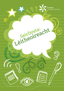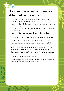# **Dóigheanna le ciall a bhaint as ábhar léitheoireachta**

- Smaoinigh faoi ábhar an leabhair nó an téacs (mar shampla, an topaic, na carachtair nó an plota).
- Agus tú ag léamh faoi thopaic áirithe, cuimhnigh ar na rudaí uilig atá ar eolas agat faoin topaic sin cheana féin.
- Má léann do mhúinteoir an téacs os ard, lean ar an leathanach é le cuidiú leat.
- Agus tú ag léamh scéil, smaoinigh ar an chéad rud eile a tharlóidh ann.
- Glac do chuid ama mura dtuigeann tú abairt nó alt, léigh arís é.
- Déan achoimre ar an rud atá léite agat i do chuid focal féin.
- Abair cad é do bharúil den téacs atá á léamh agat agus luaigh fáthanna.
- Bain úsáid as guthanna éagsúla, go háirithe do na carachtair agus iad ag labhairt (fiú agus tú ag léamh go ciúin duit féin).
- Cuir ceisteanna ar chara faoi na rudaí a léigh tú (nó is féidir ceist a chur ar ghrúpa nó ar dhuine sa bhaile).
- Léigh os ard do dhuine éigin sa bhaile.
- Déan píosaí gairide léitheoireachta a ullmhú agus a chleachtadh sula léann tú amach do dhuine éigin iad.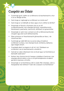## **Cuspóir an Údair**

- Cuimhnigh gurb í aidhm an scríbhneora ná teachtaireacht a chur in iúl ar dhóigh áirithe.
- Cad chuige ar roghnaigh an scríbhneoir an múnla seo?
- Cad chuige ar scríobhadh an téacs agus cé air a bhfuil sé dírithe?
- Smaoinigh ar fhocail a chuireann síos ar an stíl scríbhneoireachta, mar shampla foirmiúil, neamhfhoirmiúil, faisnéiseach, pearsanta, tuairisciúil, áititheach nó greannmhar.
- Smaoinigh ar cad é mar a oireann an stíl scríbhneoireachta don chuspóir agus don lucht léitheoireachta.
- Déan achoimre ar theachtaireacht ghinearálta an téacs, i do chuid focal féin.
- Cuimhnigh go raibh fáth leis na sonraí uilig a d'úsáid an scríbhneoir sa téacs, mar shampla focail, íomhánna, dathanna agus leagan amach.
- Cuardaigh abairt na topaice in alt nó i mír. Úsáideann an scríbhneoir seo le teachtaireacht a shoiléiriú.
- Cad iad na rudaí a bhaineann leis na focail agus na híomhánna ar baineadh úsáid astu?
- Amharc faoi choinne teicnící teanga a úsáidtear d'aonturas, mar shampla athrá le béim a chur ar an phríomhphointe nó abairtí gairide le teannas a chruthú.
- Smaoinigh ar na híomhánna a bhí in úsáid. Mar shampla, cad é a thaispeántar don léitheoir? Cad é dó a seasann na híomhánna?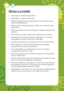## **Nótaí a scríobh**

- Smaoinigh ar cad dó do chuid nótaí?
- Smaoinigh ar cé dó do chuid nótaí?
- Úsáid an leagan amach is áisiúla duit féin, mar shampla liosta, tábla nó damhánléaráid.
- Bíodh na nótaí chomh gairid agus is féidir. Is leor cúpla focal do gach pointe.
- Úsáid ceannlitreacha chun focail topaice a thagann aníos go minic a ghiorrú.
- Pioc amach as an téacs eolas ar bith a bhaineann le do thasc.
- Má thugann do mhúinteoir cead duit, aibhsigh nó cuir líne faoi eochairphointí i dtéacs ar bith atá in úsáid agat.
- Scríobh amach pointe ar bith a bhreacann tú síos i d'fhocail féin.
- • Más cuidiú duit é, roinn do leathanach pointí ina rannóga sula gcuireann tú tús le do chuid nótaí.
- Cuir ceannteidil ar do chuid nótaí chun iad a chur isteach i rannóga atá furasta duit a úsáid.
- Breac síos cúpla focal mar achoimre ar gach alt nó rannóg téacs agus tú i mbun oibre.
- Cuir do chuid smaointe féin san áireamh sna nótaí agus tú i mbun oibre. Is cuma mura mbaineann tú úsáid astu.
- Má tá foinsí éagsúla in úsáid agat, cuir ceist faoin eolas atá iontu. Mar shampla, an bhfuil an rud céanna á rá sna foinsí éagsúla nó an bhfuil siad ag teacht salach ar a chéile?
- Roghnaigh an t-ord is fearr chun do chuid nótaí a úsáid agus déan taifead air seo trí uimhreacha a chur taobh leis na pointí.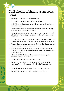#### **Ciall cheilte a bhaint as an eolas** (Tátail)

- Smaoinigh ar an duine a scríobh an téacs.
- Smaoinigh ar an chúis ar scríobhadh an téacs.
- An bhfuil sé de dhualgas ar an scríbhneoir dearcadh faoi leith a chur chun cinn?
- Déan machnamh ar an am ar scríobhadh an téacs. Mar shampla, an bhfuil an dáta tábhachtach sa stair?
- Déan nóta den mhéid atá ar eolas agat cheana féin, an rud is gá a bheith ar eolas agat agus leideanna ar bith sa téacs a líonfadh na bearnaí.
- Má tá carachtar sa scéal ag labhairt, nó má tá pearsa stairiúil ag tabhairt óráide, smaoinigh ar an méid nach ndearnadh trácht air.
- Nuair a chuirtear síos ar chomharthaíocht choirp chainteora, cuir ceist ort féin cad é a thugann sé le tuiscint.
- Cuir le chéile giotaí eolais a chuireann síos ar iompar daoine lena oibriú amach cad é atá siad ag smaoineamh nó cad é mar a mhothaíonn siad.
- Léirigh ionbhá le daoine sa téacs agus samhlaigh a gcuid smaointe, nó a gcuid mothúchán.
- Déan rólghlacadh leis an téacs a imscrúdú.
- Tabhair do d'aire daoine ag rá nó ag smaoineamh rud éigin nach mbeifeá ag súil leis agus cuir ceist cén fáth a ndéanfadh siad é.
- Déan plé ar na cialla éagsúla is féidir a bhaint as an téacs.
- Tabhair fáthanna leis an chiall a bhain tú as an téacs.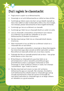## **Dul i ngleic le claontacht**

- Faigh amach cuspóir na scríbhneoireachta.
- Smaoinigh ar an lucht léitheoireachta ar a bhfuil an téacs dírithe.
- Cuimhnigh go mbíonn seans níos fearr ann go mbeidh claonadh sa téacs más í aidhm an údair ná dearcadh ar léith a chur chun tosaigh, mar shampla, póstaer bolscaireachta ón Dara Cogadh Domhanda.
- Cuimhnigh gur leis an scríbhneoir an claonadh.
- Cuimhnigh gur féidir leis an chlaonadh bheith an-soiléir nó ceilte.
- • Leis an chlaonadh a shainaithint, bí faichilleach nach mbíonn an scríbhneoir ag iarraidh dul i bhfeidhm ar an lucht léitheoireachta ar bhealach míchothrom.
- Ná déan dearmad gur féidir leis an chlaonadh bheith déanta d'aonturas.
- Déan machnamh cé acu an bhfuil an scríbhneoir eolach ar a chlaonadh féin nó nach bhfuil.
- Leis an chlaonadh a shainaithint, smaoinigh ar dhearcthaí éagsúla faoi shaincheist agus déan seiceáil an bhfuil siad soiléir sa téacs. Mura bhfuil ach dearcadh amháin ann, tá an téacs claonta.
- Fiafraigh díot féin an claonadh polaitiúil atá sa téacs leas grúpa áirithe daoine a chur chun cinn.
- • Bí faichilleach ar chlaonadh áit a gcuirtear béim ar an phríomhphointe trí athrá. Sainaithin príomhfhocail agus príomhfhrásaí sa téacs a spreagann mothúcháin ar leith. Smaoinigh ar chiall na bhfocal a bhíonn in úsáid, mar shampla 'sceimhlitheoir' agus 'trodaí na saoirse'.
- Ná déan dearmad nach ionann na naisc idir luchtanna léitheoireachta agus an claonadh. Mar shampla, thiocfadh le lucht léitheoireachta a bheith eolach ar chlaonadh agus iad ag iarraidh teachtaireacht a fháil atá claonta nó thiocfadh dó nach bhfuil siad eolach ar chlaonadh agus ar an dóigh a dtéann sé i bhfeidhm ar a gcuid smaointe.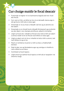### **Cur chuige maidir le focal deacair**

- Fuaimnigh na foghair nó na fuaimeanna éagsúla atá mar chuid den fhocal.
- Cuir ceist ort féin, an bhfuil an tús nó an deireadh céanna aige is atá ag focal ar bith atá ar eolas agat.
- Smaoinigh ar cé acu focal a mbeadh ciall leis ag an phointe seo den abairt.
- Smaoinigh ar an chineál focail a bheadh fóirsteanach ag an phointe seo den abairt, mar shampla ainmfhocal, aidiacht nó briathar.
- Léigh na focail eile i ndiaidh an fhocail chun leid ar bith san abairt a aimsiú maidir le brí an fhocail nach bhfuil ar eolas agat.
- Léigh an abairt arís ón tús ar mhaithe le leid ar bith a aimsiú, leid nach bhfaca tú ag an tús.
- Féach ar íomhánna nó pictiúr ar bith sa téacs a thabharfadh leid duit.
- Stad nó glac sos ag lánstadanna agus ag camóga ar mhaithe le ciall a bhaint as an téacs.
- Coimhéad na focail topaice.
- Léigh amach go laethúil focal topaice ar bith atá ar taispeáint i do sheomra ranga.